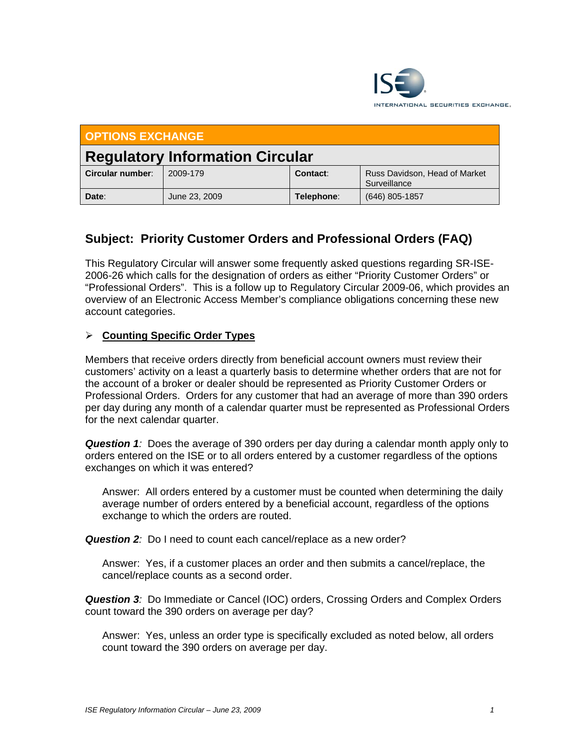

| <b>OPTIONS EXCHANGE</b>                |               |            |                                               |
|----------------------------------------|---------------|------------|-----------------------------------------------|
| <b>Regulatory Information Circular</b> |               |            |                                               |
| Circular number:                       | 2009-179      | Contact:   | Russ Davidson, Head of Market<br>Surveillance |
| Date:                                  | June 23, 2009 | Telephone: | $(646)$ 805-1857                              |

# **Subject: Priority Customer Orders and Professional Orders (FAQ)**

This Regulatory Circular will answer some frequently asked questions regarding SR-ISE-2006-26 which calls for the designation of orders as either "Priority Customer Orders" or "Professional Orders". This is a follow up to Regulatory Circular 2009-06, which provides an overview of an Electronic Access Member's compliance obligations concerning these new account categories.

## ¾ **Counting Specific Order Types**

Members that receive orders directly from beneficial account owners must review their customers' activity on a least a quarterly basis to determine whether orders that are not for the account of a broker or dealer should be represented as Priority Customer Orders or Professional Orders. Orders for any customer that had an average of more than 390 orders per day during any month of a calendar quarter must be represented as Professional Orders for the next calendar quarter.

*Question 1:* Does the average of 390 orders per day during a calendar month apply only to orders entered on the ISE or to all orders entered by a customer regardless of the options exchanges on which it was entered?

Answer: All orders entered by a customer must be counted when determining the daily average number of orders entered by a beneficial account, regardless of the options exchange to which the orders are routed.

**Question 2**: Do I need to count each cancel/replace as a new order?

Answer: Yes, if a customer places an order and then submits a cancel/replace, the cancel/replace counts as a second order.

*Question 3:* Do Immediate or Cancel (IOC) orders, Crossing Orders and Complex Orders count toward the 390 orders on average per day?

Answer: Yes, unless an order type is specifically excluded as noted below, all orders count toward the 390 orders on average per day.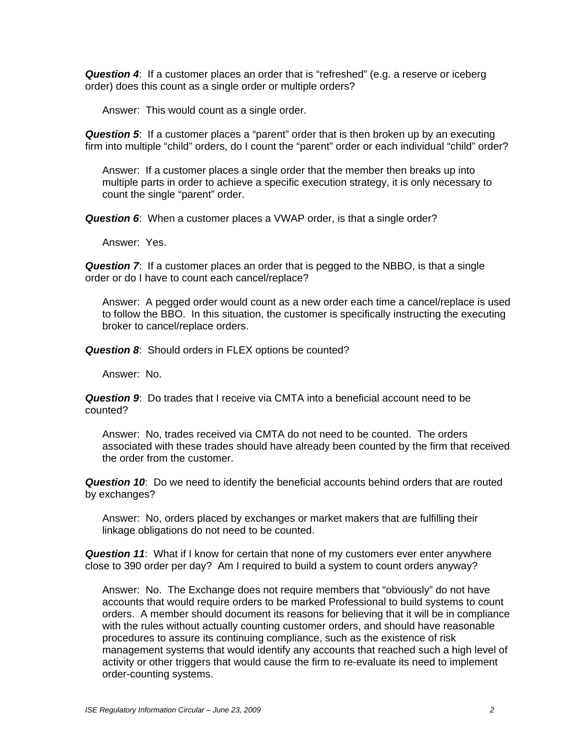*Question 4*: If a customer places an order that is "refreshed" (e.g. a reserve or iceberg order) does this count as a single order or multiple orders?

Answer: This would count as a single order.

*Question 5*: If a customer places a "parent" order that is then broken up by an executing firm into multiple "child" orders, do I count the "parent" order or each individual "child" order?

Answer: If a customer places a single order that the member then breaks up into multiple parts in order to achieve a specific execution strategy, it is only necessary to count the single "parent" order.

*Question 6*: When a customer places a VWAP order, is that a single order?

Answer: Yes.

**Question 7:** If a customer places an order that is pegged to the NBBO, is that a single order or do I have to count each cancel/replace?

Answer: A pegged order would count as a new order each time a cancel/replace is used to follow the BBO. In this situation, the customer is specifically instructing the executing broker to cancel/replace orders.

*Question 8*: Should orders in FLEX options be counted?

Answer: No.

*Question 9*: Do trades that I receive via CMTA into a beneficial account need to be counted?

Answer: No, trades received via CMTA do not need to be counted. The orders associated with these trades should have already been counted by the firm that received the order from the customer.

*Question 10*: Do we need to identify the beneficial accounts behind orders that are routed by exchanges?

Answer: No, orders placed by exchanges or market makers that are fulfilling their linkage obligations do not need to be counted.

*Question 11*: What if I know for certain that none of my customers ever enter anywhere close to 390 order per day? Am I required to build a system to count orders anyway?

Answer: No. The Exchange does not require members that "obviously" do not have accounts that would require orders to be marked Professional to build systems to count orders. A member should document its reasons for believing that it will be in compliance with the rules without actually counting customer orders, and should have reasonable procedures to assure its continuing compliance, such as the existence of risk management systems that would identify any accounts that reached such a high level of activity or other triggers that would cause the firm to re-evaluate its need to implement order-counting systems.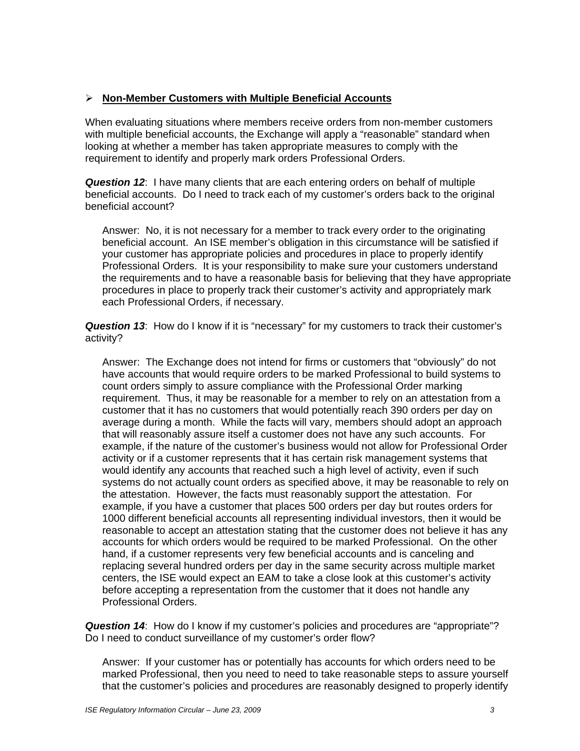# ¾ **Non-Member Customers with Multiple Beneficial Accounts**

When evaluating situations where members receive orders from non-member customers with multiple beneficial accounts, the Exchange will apply a "reasonable" standard when looking at whether a member has taken appropriate measures to comply with the requirement to identify and properly mark orders Professional Orders.

*Question 12*: I have many clients that are each entering orders on behalf of multiple beneficial accounts. Do I need to track each of my customer's orders back to the original beneficial account?

Answer: No, it is not necessary for a member to track every order to the originating beneficial account. An ISE member's obligation in this circumstance will be satisfied if your customer has appropriate policies and procedures in place to properly identify Professional Orders. It is your responsibility to make sure your customers understand the requirements and to have a reasonable basis for believing that they have appropriate procedures in place to properly track their customer's activity and appropriately mark each Professional Orders, if necessary.

*Question 13*: How do I know if it is "necessary" for my customers to track their customer's activity?

Answer: The Exchange does not intend for firms or customers that "obviously" do not have accounts that would require orders to be marked Professional to build systems to count orders simply to assure compliance with the Professional Order marking requirement. Thus, it may be reasonable for a member to rely on an attestation from a customer that it has no customers that would potentially reach 390 orders per day on average during a month. While the facts will vary, members should adopt an approach that will reasonably assure itself a customer does not have any such accounts. For example, if the nature of the customer's business would not allow for Professional Order activity or if a customer represents that it has certain risk management systems that would identify any accounts that reached such a high level of activity, even if such systems do not actually count orders as specified above, it may be reasonable to rely on the attestation. However, the facts must reasonably support the attestation. For example, if you have a customer that places 500 orders per day but routes orders for 1000 different beneficial accounts all representing individual investors, then it would be reasonable to accept an attestation stating that the customer does not believe it has any accounts for which orders would be required to be marked Professional. On the other hand, if a customer represents very few beneficial accounts and is canceling and replacing several hundred orders per day in the same security across multiple market centers, the ISE would expect an EAM to take a close look at this customer's activity before accepting a representation from the customer that it does not handle any Professional Orders.

*Question 14*: How do I know if my customer's policies and procedures are "appropriate"? Do I need to conduct surveillance of my customer's order flow?

Answer: If your customer has or potentially has accounts for which orders need to be marked Professional, then you need to need to take reasonable steps to assure yourself that the customer's policies and procedures are reasonably designed to properly identify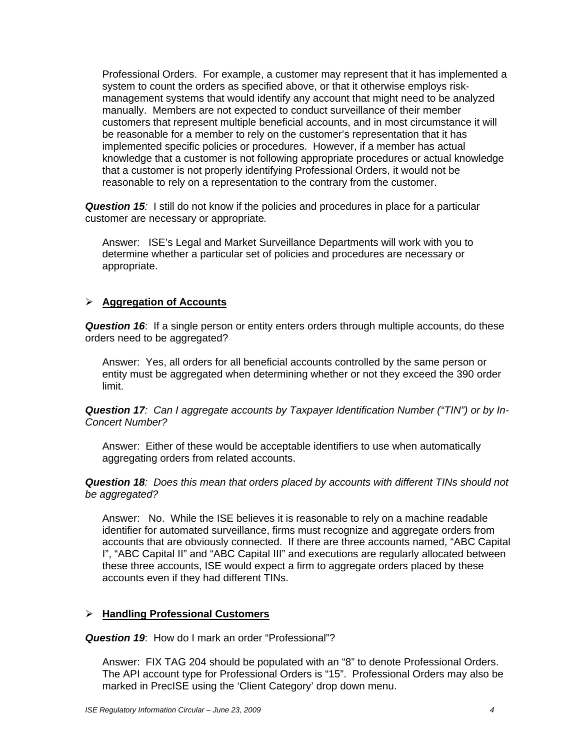Professional Orders. For example, a customer may represent that it has implemented a system to count the orders as specified above, or that it otherwise employs riskmanagement systems that would identify any account that might need to be analyzed manually. Members are not expected to conduct surveillance of their member customers that represent multiple beneficial accounts, and in most circumstance it will be reasonable for a member to rely on the customer's representation that it has implemented specific policies or procedures. However, if a member has actual knowledge that a customer is not following appropriate procedures or actual knowledge that a customer is not properly identifying Professional Orders, it would not be reasonable to rely on a representation to the contrary from the customer.

*Question 15:* I still do not know if the policies and procedures in place for a particular customer are necessary or appropriate*.* 

Answer: ISE's Legal and Market Surveillance Departments will work with you to determine whether a particular set of policies and procedures are necessary or appropriate.

#### ¾ **Aggregation of Accounts**

*Question 16*: If a single person or entity enters orders through multiple accounts, do these orders need to be aggregated?

Answer: Yes, all orders for all beneficial accounts controlled by the same person or entity must be aggregated when determining whether or not they exceed the 390 order limit.

*Question 17: Can I aggregate accounts by Taxpayer Identification Number ("TIN") or by In-Concert Number?* 

Answer: Either of these would be acceptable identifiers to use when automatically aggregating orders from related accounts.

*Question 18: Does this mean that orders placed by accounts with different TINs should not be aggregated?* 

Answer: No. While the ISE believes it is reasonable to rely on a machine readable identifier for automated surveillance, firms must recognize and aggregate orders from accounts that are obviously connected. If there are three accounts named, "ABC Capital I", "ABC Capital II" and "ABC Capital III" and executions are regularly allocated between these three accounts, ISE would expect a firm to aggregate orders placed by these accounts even if they had different TINs.

#### ¾ **Handling Professional Customers**

*Question 19*: How do I mark an order "Professional"?

Answer: FIX TAG 204 should be populated with an "8" to denote Professional Orders. The API account type for Professional Orders is "15". Professional Orders may also be marked in PrecISE using the 'Client Category' drop down menu.